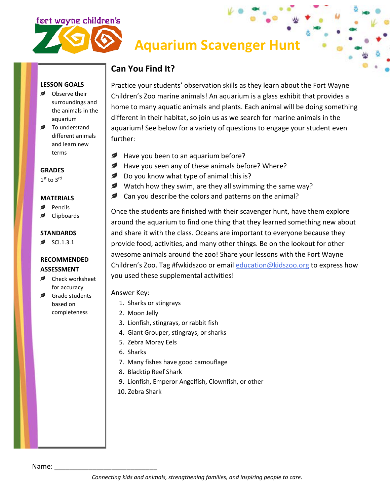



# **Aquarium Scavenger Hunt**

### **Can You Find It?**

**LESSON GOALS**

- Observe their surroundings and the animals in the aquarium
- **■** To understand different animals and learn new terms

**GRADES**

1<sup>st</sup> to 3rd

#### **MATERIALS**

- Pencils
- Clipboards

### **STANDARDS**

SCI.1.3.1

#### **RECOMMENDED ASSESSMENT**

- **■** Check worksheet for accuracy
- Grade students based on completeness

Practice your students' observation skills as they learn about the Fort Wayne Children's Zoo marine animals! An aquarium is a glass exhibit that provides a home to many aquatic animals and plants. Each animal will be doing something different in their habitat, so join us as we search for marine animals in the aquarium! See below for a variety of questions to engage your student even further:

- ℯ Have you been to an aquarium before?
- *,* Have you seen any of these animals before? Where?
- Do you know what type of animal this is?
- Watch how they swim, are they all swimming the same way?
- **Can you describe the colors and patterns on the animal?**

Once the students are finished with their scavenger hunt, have them explore around the aquarium to find one thing that they learned something new about and share it with the class. Oceans are important to everyone because they provide food, activities, and many other things. Be on the lookout for other awesome animals around the zoo! Share your lessons with the Fort Wayne Children's Zoo. Tag #fwkidszoo or email [education@kidszoo.org](mailto:education@kidszoo.org) to express how you used these supplemental activities!

Answer Key:

- 1. Sharks or stingrays
- 2. Moon Jelly
- 3. Lionfish, stingrays, or rabbit fish
- 4. Giant Grouper, stingrays, or sharks
- 5. Zebra Moray Eels
- 6. Sharks
- 7. Many fishes have good camouflage
- 8. Blacktip Reef Shark
- 9. Lionfish, Emperor Angelfish, Clownfish, or other
- 10. Zebra Shark